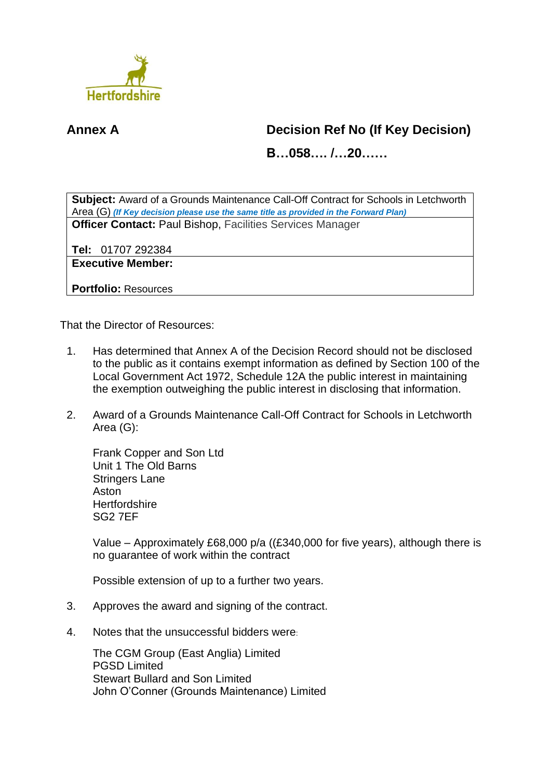

## **Annex A Decision Ref No (If Key Decision)**

**B…058…. /…20……**

**Subject:** Award of a Grounds Maintenance Call-Off Contract for Schools in Letchworth Area (G) *(If Key decision please use the same title as provided in the Forward Plan)* **Officer Contact:** Paul Bishop, Facilities Services Manager

**Tel:** 01707 292384

**Executive Member:**

**Portfolio:** Resources

That the Director of Resources:

- 1. Has determined that Annex A of the Decision Record should not be disclosed to the public as it contains exempt information as defined by Section 100 of the Local Government Act 1972, Schedule 12A the public interest in maintaining the exemption outweighing the public interest in disclosing that information.
- 2. Award of a Grounds Maintenance Call-Off Contract for Schools in Letchworth Area (G):

Frank Copper and Son Ltd Unit 1 The Old Barns Stringers Lane Aston **Hertfordshire** SG2 7EF

Value – Approximately £68,000 p/a ((£340,000 for five years), although there is no guarantee of work within the contract

Possible extension of up to a further two years.

- 3. Approves the award and signing of the contract.
- 4. Notes that the unsuccessful bidders were:

The CGM Group (East Anglia) Limited PGSD Limited Stewart Bullard and Son Limited John O'Conner (Grounds Maintenance) Limited